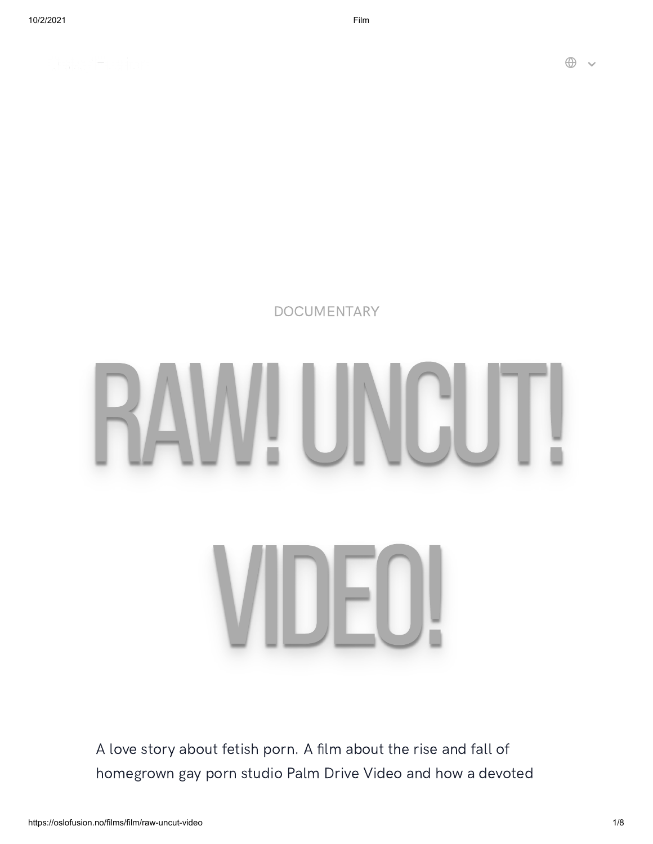DOCUMENTARY

# RAW! UNCUT!

VIDEO!

A love story about fetish porn. A film about the rise and fall of homegrown gay porn studio Palm Drive Video and how a devoted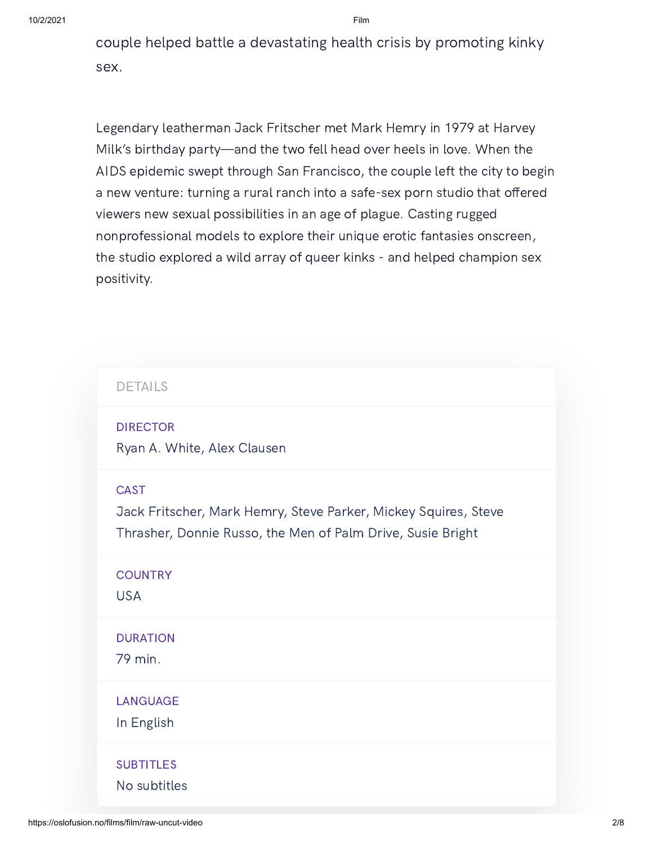couple helped battle a devastating health crisis by promoting kinky sex.

Legendary leatherman Jack Fritscher met Mark Hemry in 1979 at Harvey Milk's birthday party—and the two fell head over heels in love. When the AIDS epidemic swept through San Francisco, the couple left the city to begin a new venture: turning a rural ranch into a safe-sex porn studio that offered viewers new sexual possibilities in an age of plague. Casting rugged nonprofessional models to explore their unique erotic fantasies onscreen, the studio explored a wild array of queer kinks - and helped champion sex positivity.

### DETAILS

**DIRECTOR** Ryan A. White, Alex Clausen

### CAST

Jack Fritscher, Mark Hemry, Steve Parker, Mickey Squires, Steve Thrasher, Donnie Russo, the Men of Palm Drive, Susie Bright

**COUNTRY** 

USA

DURATION

79 min.

LANGUAGE

In English

### **SUBTITLES**

No subtitles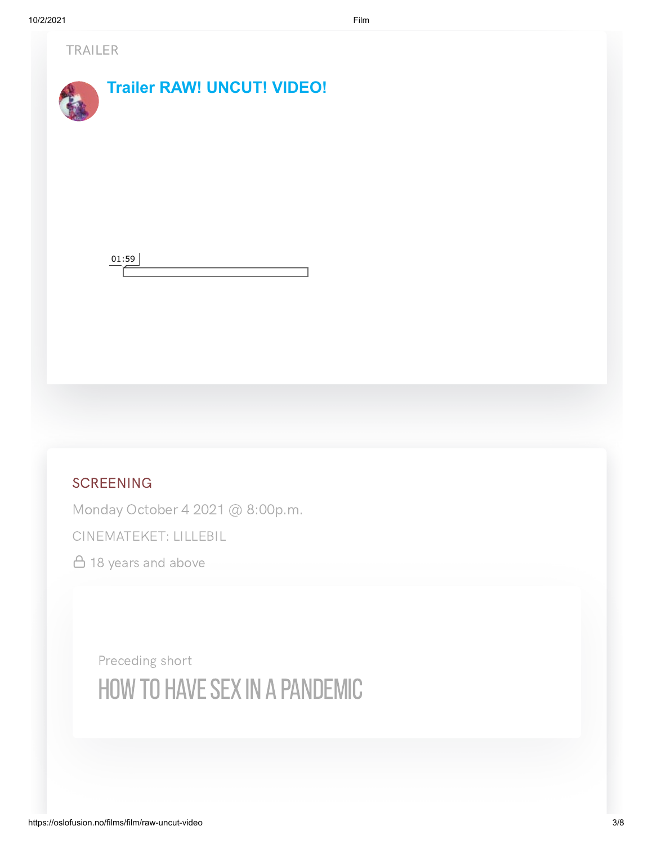### **TRAILER**

## **[Trailer RAW! UNCUT! VIDEO!](https://vimeo.com/embed-redirect/618730923?embedded=true&source=video_title&owner=11264554)**

| 01.50 |  |  |  |
|-------|--|--|--|
|       |  |  |  |

### **SCREENING**

Monday October 4 2021 @ 8:00p.m.

CINEMATEKET: LILLEBIL

18 years and above

Preceding short HOW TO HAVE SEX IN A [PANDEMIC](https://oslofusion.no/films/film/how-have-sex-pandemic)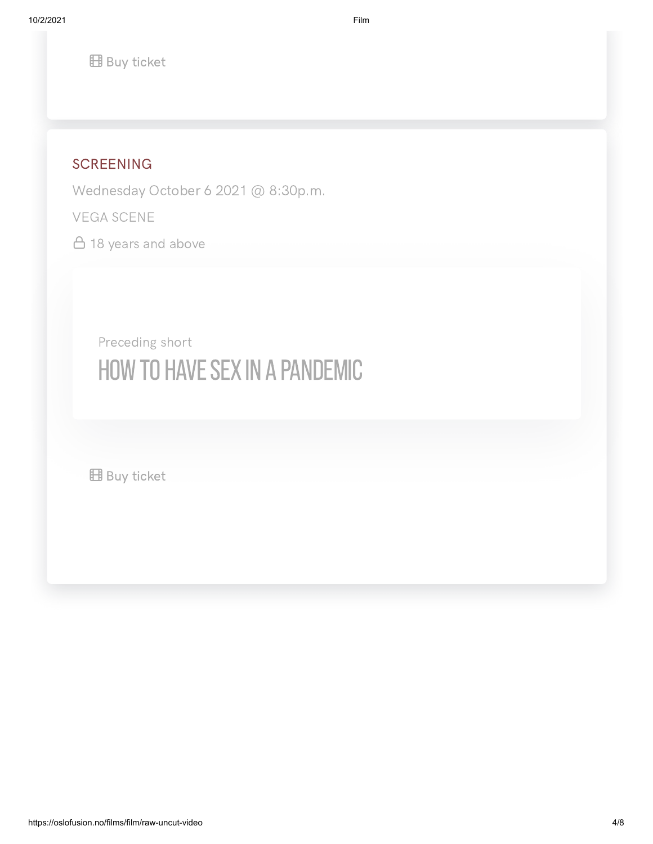**B** Buy [ticket](https://www.cinemateket.no/filmer/raw-uncut-video)

### **SCREENING**

Wednesday October 6 2021 @ 8:30p.m.

VEGA SCENE

18 years and above

Preceding short HOW TO HAVE SEX IN A [PANDEMIC](https://oslofusion.no/films/film/how-have-sex-pandemic)

**田 Buy [ticket](https://checkout.ebillett.no/287/events/19005/purchase/corona?kanal=fw)**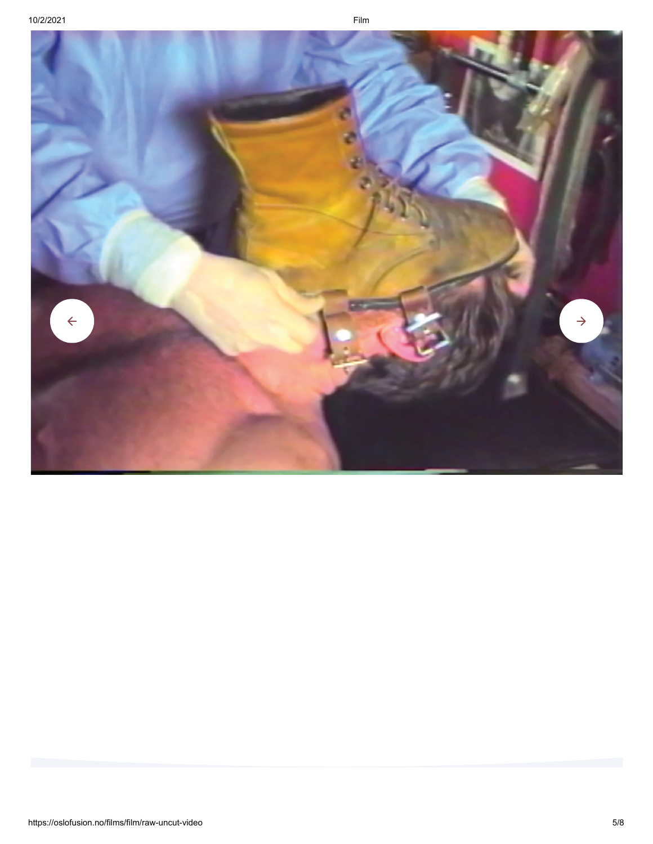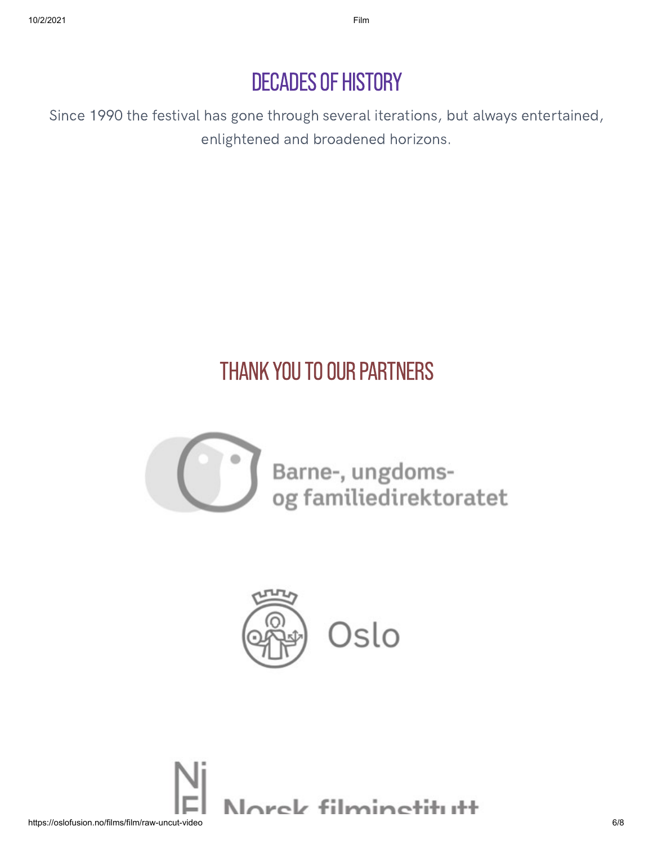### DECADES OF HISTORY

Since 1990 the festival has gone through several iterations, but always entertained, enlightened and broadened horizons.

### THANK YOU TO OUR PARTNERS



Barne-, ungdoms-<br>og familiedirektoratet



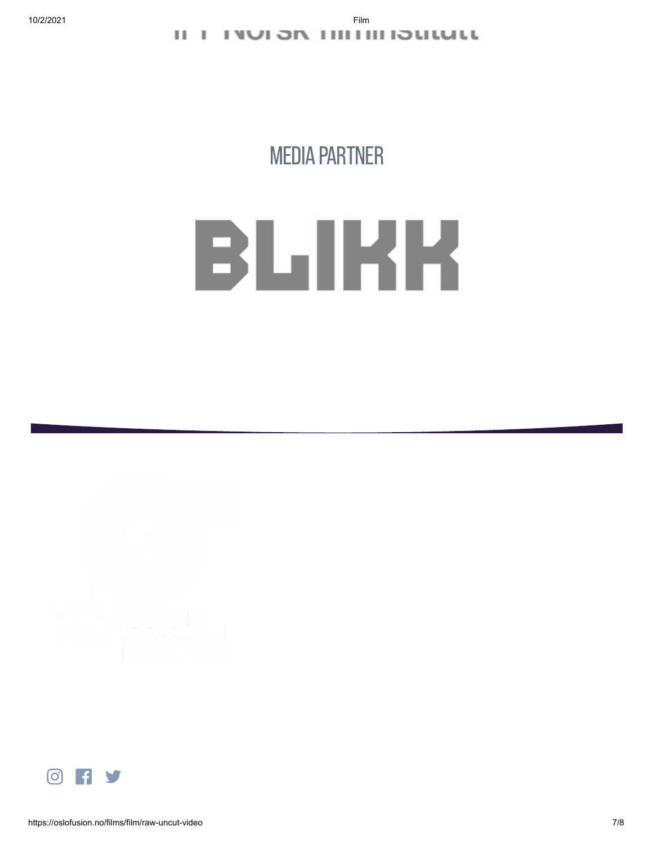### MEDIA PARTNER

### BLIKK